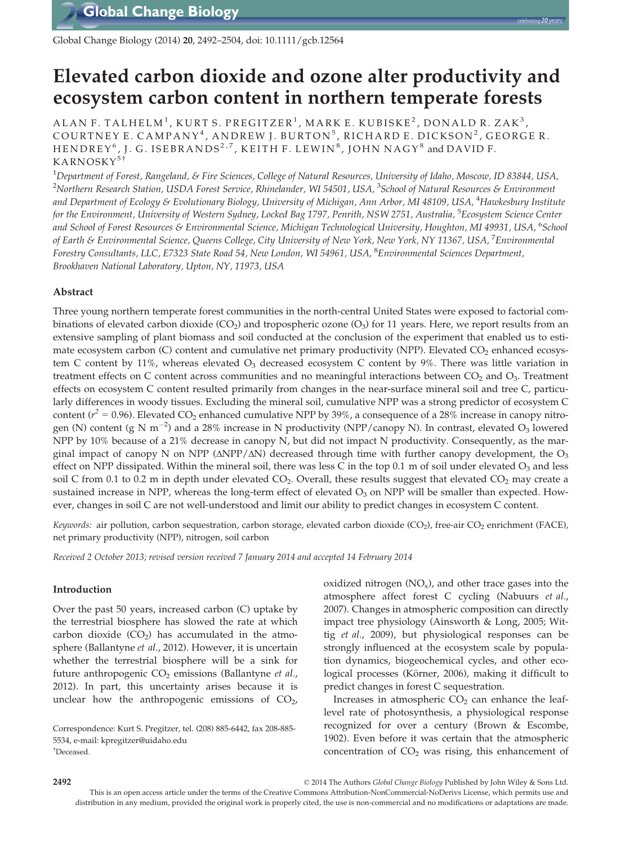Global Change Biology (2014) 20, 2492–2504, doi: 10.1111/gcb.12564

# Elevated carbon dioxide and ozone alter productivity and ecosystem carbon content in northern temperate forests

ALAN F. TALHELM<sup>1</sup>, KURT S. PREGITZER<sup>1</sup>, MARK E. KUBISKE<sup>2</sup>, DONALD R. ZAK<sup>3</sup>, COURTNEY E. CAMPANY<sup>4</sup>, ANDREW J. BURTON<sup>5</sup>, RICHARD E. DICKSON<sup>2</sup>, GEORGE R. HENDREY<sup>6</sup>, J. G. ISEBRANDS<sup>2,7</sup>, KEITH F. LEWIN<sup>8</sup>, JOHN NAGY<sup>8</sup> and DAVID F. KARNOSKY<sup>5†</sup>

 $^1$ Department of Forest, Rangeland, & Fire Sciences, College of Natural Resources, University of Idaho, Moscow, ID 83844, USA,  $^2$ Northern Research Station, USDA Forest Service, Rhinelander, WI 54501, USA,  $^3$ School of Natural Resources & Environment and Department of Ecology & Evolutionary Biology, University of Michigan, Ann Arbor, MI 48109, USA, <sup>4</sup>Hawkesbury Institute for the Environment, University of Western Sydney, Locked Bag 1797, Penrith, NSW 2751, Australia, <sup>5</sup>Ecosystem Science Center and School of Forest Resources & Environmental Science, Michigan Technological University, Houghton, MI 49931, USA, <sup>6</sup>School of Earth & Environmental Science, Queens College, City University of New York, New York, NY 11367, USA, <sup>7</sup>Environmental Forestry Consultants, LLC, E7323 State Road 54, New London, WI 54961, USA, <sup>8</sup> Environmental Sciences Department, Brookhaven National Laboratory, Upton, NY, 11973, USA

## Abstract

Three young northern temperate forest communities in the north-central United States were exposed to factorial combinations of elevated carbon dioxide  $(CO_2)$  and tropospheric ozone  $(O_3)$  for 11 years. Here, we report results from an extensive sampling of plant biomass and soil conducted at the conclusion of the experiment that enabled us to estimate ecosystem carbon  $(C)$  content and cumulative net primary productivity (NPP). Elevated  $CO<sub>2</sub>$  enhanced ecosystem C content by 11%, whereas elevated  $O_3$  decreased ecosystem C content by 9%. There was little variation in treatment effects on C content across communities and no meaningful interactions between  $CO<sub>2</sub>$  and  $O<sub>3</sub>$ . Treatment effects on ecosystem C content resulted primarily from changes in the near-surface mineral soil and tree C, particularly differences in woody tissues. Excluding the mineral soil, cumulative NPP was a strong predictor of ecosystem C content ( $r^2$  = 0.96). Elevated CO<sub>2</sub> enhanced cumulative NPP by 39%, a consequence of a 28% increase in canopy nitrogen (N) content (g N m<sup>-2</sup>) and a 28% increase in N productivity (NPP/canopy N). In contrast, elevated O<sub>3</sub> lowered NPP by 10% because of a 21% decrease in canopy N, but did not impact N productivity. Consequently, as the marginal impact of canopy N on NPP ( $\triangle NPP/\triangle N$ ) decreased through time with further canopy development, the  $O_3$ effect on NPP dissipated. Within the mineral soil, there was less C in the top 0.1 m of soil under elevated  $O_3$  and less soil C from 0.1 to 0.2 m in depth under elevated  $CO<sub>2</sub>$ . Overall, these results suggest that elevated  $CO<sub>2</sub>$  may create a sustained increase in NPP, whereas the long-term effect of elevated  $O<sub>3</sub>$  on NPP will be smaller than expected. However, changes in soil C are not well-understood and limit our ability to predict changes in ecosystem C content.

Keywords: air pollution, carbon sequestration, carbon storage, elevated carbon dioxide (CO<sub>2</sub>), free-air CO<sub>2</sub> enrichment (FACE), net primary productivity (NPP), nitrogen, soil carbon

Received 2 October 2013; revised version received 7 January 2014 and accepted 14 February 2014

## Introduction

Over the past 50 years, increased carbon (C) uptake by the terrestrial biosphere has slowed the rate at which carbon dioxide  $(CO<sub>2</sub>)$  has accumulated in the atmosphere (Ballantyne et al., 2012). However, it is uncertain whether the terrestrial biosphere will be a sink for future anthropogenic  $CO<sub>2</sub>$  emissions (Ballantyne et al., 2012). In part, this uncertainty arises because it is unclear how the anthropogenic emissions of  $CO<sub>2</sub>$ ,

oxidized nitrogen  $(NO_x)$ , and other trace gases into the atmosphere affect forest C cycling (Nabuurs et al., 2007). Changes in atmospheric composition can directly impact tree physiology (Ainsworth & Long, 2005; Wittig et al., 2009), but physiological responses can be strongly influenced at the ecosystem scale by population dynamics, biogeochemical cycles, and other ecological processes (Körner, 2006), making it difficult to predict changes in forest C sequestration.

Increases in atmospheric  $CO<sub>2</sub>$  can enhance the leaflevel rate of photosynthesis, a physiological response recognized for over a century (Brown & Escombe, 1902). Even before it was certain that the atmospheric concentration of  $CO<sub>2</sub>$  was rising, this enhancement of

2492 © 2014 The Authors Global Change Biology Published by John Wiley & Sons Ltd. This is an open access article under the terms of the Creative Commons Attribution-NonCommercial-NoDerivs License, which permits use and distribution in any medium, provided the original work is properly cited, the use is non-commercial and no modifications or adaptations are made.

Correspondence: Kurt S. Pregitzer, tel. (208) 885-6442, fax 208-885- 5534, e-mail: kpregitzer@uidaho.edu † Deceased.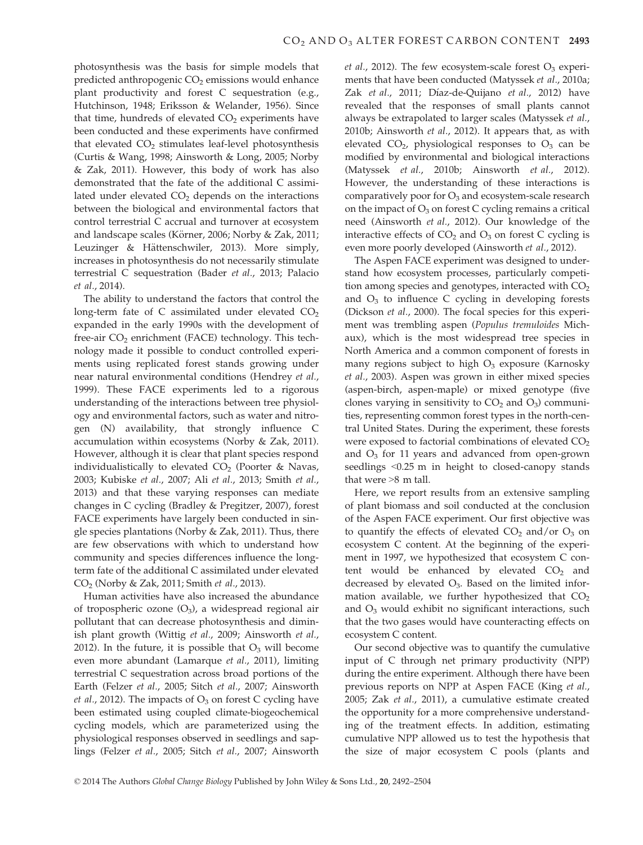photosynthesis was the basis for simple models that predicted anthropogenic CO<sub>2</sub> emissions would enhance plant productivity and forest C sequestration (e.g., Hutchinson, 1948; Eriksson & Welander, 1956). Since that time, hundreds of elevated  $CO<sub>2</sub>$  experiments have been conducted and these experiments have confirmed that elevated  $CO<sub>2</sub>$  stimulates leaf-level photosynthesis (Curtis & Wang, 1998; Ainsworth & Long, 2005; Norby & Zak, 2011). However, this body of work has also demonstrated that the fate of the additional C assimilated under elevated  $CO<sub>2</sub>$  depends on the interactions between the biological and environmental factors that control terrestrial C accrual and turnover at ecosystem and landscape scales (Körner, 2006; Norby & Zak, 2011; Leuzinger & Hättenschwiler, 2013). More simply, increases in photosynthesis do not necessarily stimulate terrestrial C sequestration (Bader et al., 2013; Palacio et al., 2014).

The ability to understand the factors that control the long-term fate of  $C$  assimilated under elevated  $CO<sub>2</sub>$ expanded in the early 1990s with the development of free-air  $CO<sub>2</sub>$  enrichment (FACE) technology. This technology made it possible to conduct controlled experiments using replicated forest stands growing under near natural environmental conditions (Hendrey et al., 1999). These FACE experiments led to a rigorous understanding of the interactions between tree physiology and environmental factors, such as water and nitrogen (N) availability, that strongly influence C accumulation within ecosystems (Norby & Zak, 2011). However, although it is clear that plant species respond individualistically to elevated  $CO<sub>2</sub>$  (Poorter & Navas, 2003; Kubiske et al., 2007; Ali et al., 2013; Smith et al., 2013) and that these varying responses can mediate changes in C cycling (Bradley & Pregitzer, 2007), forest FACE experiments have largely been conducted in single species plantations (Norby & Zak, 2011). Thus, there are few observations with which to understand how community and species differences influence the longterm fate of the additional C assimilated under elevated CO2 (Norby & Zak, 2011; Smith et al., 2013).

Human activities have also increased the abundance of tropospheric ozone  $(O_3)$ , a widespread regional air pollutant that can decrease photosynthesis and diminish plant growth (Wittig et al., 2009; Ainsworth et al., 2012). In the future, it is possible that  $O_3$  will become even more abundant (Lamarque et al., 2011), limiting terrestrial C sequestration across broad portions of the Earth (Felzer et al., 2005; Sitch et al., 2007; Ainsworth *et al.*, 2012). The impacts of  $O_3$  on forest C cycling have been estimated using coupled climate-biogeochemical cycling models, which are parameterized using the physiological responses observed in seedlings and saplings (Felzer et al., 2005; Sitch et al., 2007; Ainsworth et al., 2012). The few ecosystem-scale forest  $O_3$  experiments that have been conducted (Matyssek et al., 2010a; Zak *et al.,* 2011; Díaz-de-Quijano *et al.,* 2012) have revealed that the responses of small plants cannot always be extrapolated to larger scales (Matyssek et al., 2010b; Ainsworth et al., 2012). It appears that, as with elevated  $CO<sub>2</sub>$ , physiological responses to  $O<sub>3</sub>$  can be modified by environmental and biological interactions (Matyssek et al., 2010b; Ainsworth et al., 2012). However, the understanding of these interactions is comparatively poor for  $O_3$  and ecosystem-scale research on the impact of  $O_3$  on forest C cycling remains a critical need (Ainsworth et al., 2012). Our knowledge of the interactive effects of  $CO<sub>2</sub>$  and  $O<sub>3</sub>$  on forest C cycling is even more poorly developed (Ainsworth et al., 2012).

The Aspen FACE experiment was designed to understand how ecosystem processes, particularly competition among species and genotypes, interacted with  $CO<sub>2</sub>$ and  $O_3$  to influence C cycling in developing forests (Dickson et al., 2000). The focal species for this experiment was trembling aspen (Populus tremuloides Michaux), which is the most widespread tree species in North America and a common component of forests in many regions subject to high  $O_3$  exposure (Karnosky et al., 2003). Aspen was grown in either mixed species (aspen-birch, aspen-maple) or mixed genotype (five clones varying in sensitivity to  $CO<sub>2</sub>$  and  $O<sub>3</sub>$ ) communities, representing common forest types in the north-central United States. During the experiment, these forests were exposed to factorial combinations of elevated  $CO<sub>2</sub>$ and  $O<sub>3</sub>$  for 11 years and advanced from open-grown seedlings <0.25 m in height to closed-canopy stands that were >8 m tall.

Here, we report results from an extensive sampling of plant biomass and soil conducted at the conclusion of the Aspen FACE experiment. Our first objective was to quantify the effects of elevated  $CO<sub>2</sub>$  and/or  $O<sub>3</sub>$  on ecosystem C content. At the beginning of the experiment in 1997, we hypothesized that ecosystem C content would be enhanced by elevated  $CO<sub>2</sub>$  and decreased by elevated  $O_3$ . Based on the limited information available, we further hypothesized that  $CO<sub>2</sub>$ and  $O_3$  would exhibit no significant interactions, such that the two gases would have counteracting effects on ecosystem C content.

Our second objective was to quantify the cumulative input of C through net primary productivity (NPP) during the entire experiment. Although there have been previous reports on NPP at Aspen FACE (King et al., 2005; Zak et al., 2011), a cumulative estimate created the opportunity for a more comprehensive understanding of the treatment effects. In addition, estimating cumulative NPP allowed us to test the hypothesis that the size of major ecosystem C pools (plants and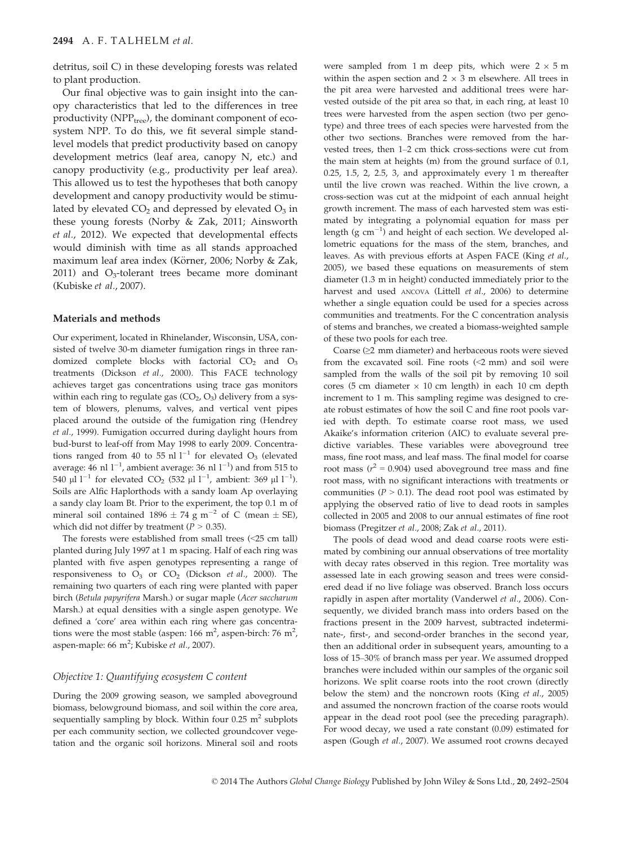detritus, soil C) in these developing forests was related to plant production.

Our final objective was to gain insight into the canopy characteristics that led to the differences in tree productivity ( $NPP_{tree}$ ), the dominant component of ecosystem NPP. To do this, we fit several simple standlevel models that predict productivity based on canopy development metrics (leaf area, canopy N, etc.) and canopy productivity (e.g., productivity per leaf area). This allowed us to test the hypotheses that both canopy development and canopy productivity would be stimulated by elevated  $CO<sub>2</sub>$  and depressed by elevated  $O<sub>3</sub>$  in these young forests (Norby & Zak, 2011; Ainsworth et al., 2012). We expected that developmental effects would diminish with time as all stands approached maximum leaf area index (Körner, 2006; Norby & Zak, 2011) and  $O_3$ -tolerant trees became more dominant (Kubiske et al., 2007).

## Materials and methods

Our experiment, located in Rhinelander, Wisconsin, USA, consisted of twelve 30-m diameter fumigation rings in three randomized complete blocks with factorial  $CO<sub>2</sub>$  and  $O<sub>3</sub>$ treatments (Dickson et al., 2000). This FACE technology achieves target gas concentrations using trace gas monitors within each ring to regulate gas  $(CO<sub>2</sub>, O<sub>3</sub>)$  delivery from a system of blowers, plenums, valves, and vertical vent pipes placed around the outside of the fumigation ring (Hendrey et al., 1999). Fumigation occurred during daylight hours from bud-burst to leaf-off from May 1998 to early 2009. Concentrations ranged from 40 to 55 nl  $1^{-1}$  for elevated O<sub>3</sub> (elevated average: 46  $\rm{nl}$   $\rm{l}^{-1}$ , ambient average: 36  $\rm{nl}$   $\rm{l}^{-1}$ ) and from 515 to 540  $\mu$ l l<sup>-1</sup> for elevated CO<sub>2</sub> (532  $\mu$ l l<sup>-1</sup>, ambient: 369  $\mu$ l l<sup>-1</sup>). Soils are Alfic Haplorthods with a sandy loam Ap overlaying a sandy clay loam Bt. Prior to the experiment, the top 0.1 m of mineral soil contained  $1896 \pm 74$  g m<sup>-2</sup> of C (mean  $\pm$  SE), which did not differ by treatment ( $P > 0.35$ ).

The forests were established from small trees (<25 cm tall) planted during July 1997 at 1 m spacing. Half of each ring was planted with five aspen genotypes representing a range of responsiveness to  $O_3$  or  $CO_2$  (Dickson *et al.,* 2000). The remaining two quarters of each ring were planted with paper birch (Betula papyrifera Marsh.) or sugar maple (Acer saccharum Marsh.) at equal densities with a single aspen genotype. We defined a 'core' area within each ring where gas concentrations were the most stable (aspen:  $166 \text{ m}^2$ , aspen-birch:  $76 \text{ m}^2$ , aspen-maple: 66 m<sup>2</sup>; Kubiske *et al.*, 2007).

# Objective 1: Quantifying ecosystem C content

During the 2009 growing season, we sampled aboveground biomass, belowground biomass, and soil within the core area, sequentially sampling by block. Within four  $0.25 \text{ m}^2$  subplots per each community section, we collected groundcover vegetation and the organic soil horizons. Mineral soil and roots were sampled from 1 m deep pits, which were  $2 \times 5$  m within the aspen section and  $2 \times 3$  m elsewhere. All trees in the pit area were harvested and additional trees were harvested outside of the pit area so that, in each ring, at least 10 trees were harvested from the aspen section (two per genotype) and three trees of each species were harvested from the other two sections. Branches were removed from the harvested trees, then 1–2 cm thick cross-sections were cut from the main stem at heights (m) from the ground surface of 0.1, 0.25, 1.5, 2, 2.5, 3, and approximately every 1 m thereafter until the live crown was reached. Within the live crown, a cross-section was cut at the midpoint of each annual height growth increment. The mass of each harvested stem was estimated by integrating a polynomial equation for mass per length (g  $cm^{-1}$ ) and height of each section. We developed allometric equations for the mass of the stem, branches, and leaves. As with previous efforts at Aspen FACE (King et al., 2005), we based these equations on measurements of stem diameter (1.3 m in height) conducted immediately prior to the harvest and used ANCOVA (Littell et al., 2006) to determine whether a single equation could be used for a species across communities and treatments. For the C concentration analysis of stems and branches, we created a biomass-weighted sample of these two pools for each tree.

Coarse (≥2 mm diameter) and herbaceous roots were sieved from the excavated soil. Fine roots (<2 mm) and soil were sampled from the walls of the soil pit by removing 10 soil cores (5 cm diameter  $\times$  10 cm length) in each 10 cm depth increment to 1 m. This sampling regime was designed to create robust estimates of how the soil C and fine root pools varied with depth. To estimate coarse root mass, we used Akaike's information criterion (AIC) to evaluate several predictive variables. These variables were aboveground tree mass, fine root mass, and leaf mass. The final model for coarse root mass ( $r^2$  = 0.904) used aboveground tree mass and fine root mass, with no significant interactions with treatments or communities ( $P > 0.1$ ). The dead root pool was estimated by applying the observed ratio of live to dead roots in samples collected in 2005 and 2008 to our annual estimates of fine root biomass (Pregitzer et al., 2008; Zak et al., 2011).

The pools of dead wood and dead coarse roots were estimated by combining our annual observations of tree mortality with decay rates observed in this region. Tree mortality was assessed late in each growing season and trees were considered dead if no live foliage was observed. Branch loss occurs rapidly in aspen after mortality (Vanderwel et al., 2006). Consequently, we divided branch mass into orders based on the fractions present in the 2009 harvest, subtracted indeterminate-, first-, and second-order branches in the second year, then an additional order in subsequent years, amounting to a loss of 15–30% of branch mass per year. We assumed dropped branches were included within our samples of the organic soil horizons. We split coarse roots into the root crown (directly below the stem) and the noncrown roots (King et al., 2005) and assumed the noncrown fraction of the coarse roots would appear in the dead root pool (see the preceding paragraph). For wood decay, we used a rate constant (0.09) estimated for aspen (Gough et al., 2007). We assumed root crowns decayed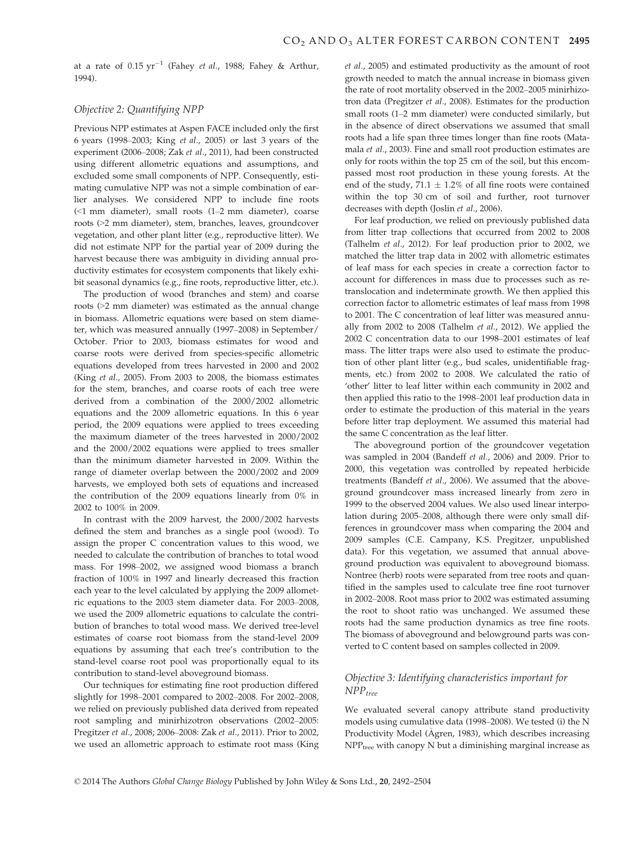at a rate of  $0.15 \text{ yr}^{-1}$  (Fahey *et al.*, 1988; Fahey & Arthur, 1994).

## Objective 2: Quantifying NPP

Previous NPP estimates at Aspen FACE included only the first 6 years (1998–2003; King et al., 2005) or last 3 years of the experiment (2006–2008; Zak et al., 2011), had been constructed using different allometric equations and assumptions, and excluded some small components of NPP. Consequently, estimating cumulative NPP was not a simple combination of earlier analyses. We considered NPP to include fine roots (<1 mm diameter), small roots (1–2 mm diameter), coarse roots (>2 mm diameter), stem, branches, leaves, groundcover vegetation, and other plant litter (e.g., reproductive litter). We did not estimate NPP for the partial year of 2009 during the harvest because there was ambiguity in dividing annual productivity estimates for ecosystem components that likely exhibit seasonal dynamics (e.g., fine roots, reproductive litter, etc.).

The production of wood (branches and stem) and coarse roots (>2 mm diameter) was estimated as the annual change in biomass. Allometric equations were based on stem diameter, which was measured annually (1997–2008) in September/ October. Prior to 2003, biomass estimates for wood and coarse roots were derived from species-specific allometric equations developed from trees harvested in 2000 and 2002 (King et al., 2005). From 2003 to 2008, the biomass estimates for the stem, branches, and coarse roots of each tree were derived from a combination of the 2000/2002 allometric equations and the 2009 allometric equations. In this 6 year period, the 2009 equations were applied to trees exceeding the maximum diameter of the trees harvested in 2000/2002 and the 2000/2002 equations were applied to trees smaller than the minimum diameter harvested in 2009. Within the range of diameter overlap between the 2000/2002 and 2009 harvests, we employed both sets of equations and increased the contribution of the 2009 equations linearly from 0% in 2002 to 100% in 2009.

In contrast with the 2009 harvest, the 2000/2002 harvests defined the stem and branches as a single pool (wood). To assign the proper C concentration values to this wood, we needed to calculate the contribution of branches to total wood mass. For 1998–2002, we assigned wood biomass a branch fraction of 100% in 1997 and linearly decreased this fraction each year to the level calculated by applying the 2009 allometric equations to the 2003 stem diameter data. For 2003–2008, we used the 2009 allometric equations to calculate the contribution of branches to total wood mass. We derived tree-level estimates of coarse root biomass from the stand-level 2009 equations by assuming that each tree's contribution to the stand-level coarse root pool was proportionally equal to its contribution to stand-level aboveground biomass.

Our techniques for estimating fine root production differed slightly for 1998–2001 compared to 2002–2008. For 2002–2008, we relied on previously published data derived from repeated root sampling and minirhizotron observations (2002–2005: Pregitzer et al., 2008; 2006–2008: Zak et al., 2011). Prior to 2002, we used an allometric approach to estimate root mass (King et al., 2005) and estimated productivity as the amount of root growth needed to match the annual increase in biomass given the rate of root mortality observed in the 2002–2005 minirhizotron data (Pregitzer et al., 2008). Estimates for the production small roots (1–2 mm diameter) were conducted similarly, but in the absence of direct observations we assumed that small roots had a life span three times longer than fine roots (Matamala et al., 2003). Fine and small root production estimates are only for roots within the top 25 cm of the soil, but this encompassed most root production in these young forests. At the end of the study, 71.1  $\pm$  1.2% of all fine roots were contained within the top 30 cm of soil and further, root turnover decreases with depth (Joslin et al., 2006).

For leaf production, we relied on previously published data from litter trap collections that occurred from 2002 to 2008 (Talhelm et al., 2012). For leaf production prior to 2002, we matched the litter trap data in 2002 with allometric estimates of leaf mass for each species in create a correction factor to account for differences in mass due to processes such as retranslocation and indeterminate growth. We then applied this correction factor to allometric estimates of leaf mass from 1998 to 2001. The C concentration of leaf litter was measured annually from 2002 to 2008 (Talhelm et al., 2012). We applied the 2002 C concentration data to our 1998–2001 estimates of leaf mass. The litter traps were also used to estimate the production of other plant litter (e.g., bud scales, unidentifiable fragments, etc.) from 2002 to 2008. We calculated the ratio of 'other' litter to leaf litter within each community in 2002 and then applied this ratio to the 1998–2001 leaf production data in order to estimate the production of this material in the years before litter trap deployment. We assumed this material had the same C concentration as the leaf litter.

The aboveground portion of the groundcover vegetation was sampled in 2004 (Bandeff et al., 2006) and 2009. Prior to 2000, this vegetation was controlled by repeated herbicide treatments (Bandeff et al., 2006). We assumed that the aboveground groundcover mass increased linearly from zero in 1999 to the observed 2004 values. We also used linear interpolation during 2005–2008, although there were only small differences in groundcover mass when comparing the 2004 and 2009 samples (C.E. Campany, K.S. Pregitzer, unpublished data). For this vegetation, we assumed that annual aboveground production was equivalent to aboveground biomass. Nontree (herb) roots were separated from tree roots and quantified in the samples used to calculate tree fine root turnover in 2002–2008. Root mass prior to 2002 was estimated assuming the root to shoot ratio was unchanged. We assumed these roots had the same production dynamics as tree fine roots. The biomass of aboveground and belowground parts was converted to C content based on samples collected in 2009.

# Objective 3: Identifying characteristics important for  $NPP_{tree}$

We evaluated several canopy attribute stand productivity models using cumulative data (1998–2008). We tested (i) the N Productivity Model (Agren, 1983), which describes increasing  $NPP<sub>tree</sub>$  with canopy  $N$  but a diminishing marginal increase as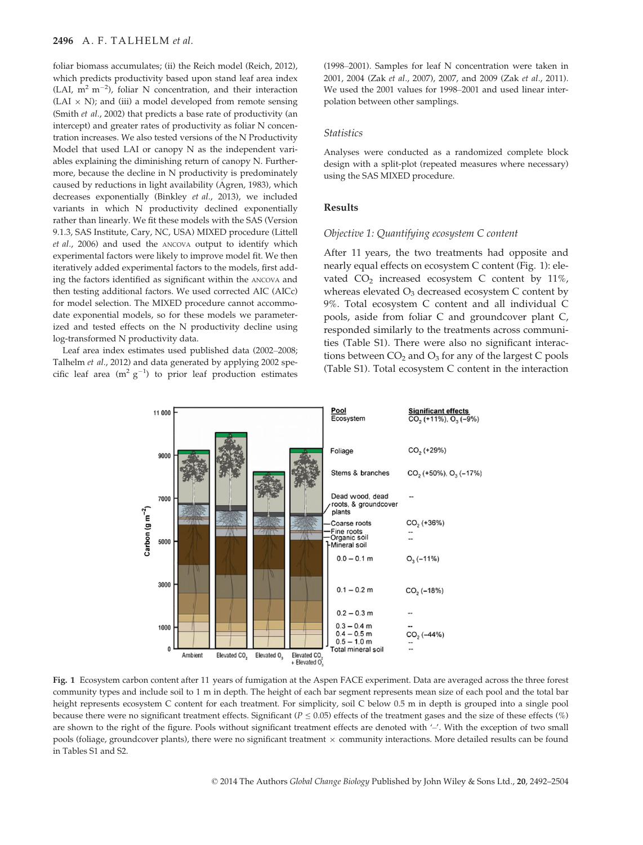#### 2496 A. F. TALHELM et al.

foliar biomass accumulates; (ii) the Reich model (Reich, 2012), which predicts productivity based upon stand leaf area index (LAI,  $m^2$  m<sup>-2</sup>), foliar N concentration, and their interaction  $(LAI \times N)$ ; and (iii) a model developed from remote sensing (Smith et al., 2002) that predicts a base rate of productivity (an intercept) and greater rates of productivity as foliar N concentration increases. We also tested versions of the N Productivity Model that used LAI or canopy N as the independent variables explaining the diminishing return of canopy N. Furthermore, because the decline in N productivity is predominately caused by reductions in light availability (Agren, 1983), which decreases exponentially (Binkley et al., 2013), we included variants in which N productivity declined exponentially rather than linearly. We fit these models with the SAS (Version 9.1.3, SAS Institute, Cary, NC, USA) MIXED procedure (Littell et al., 2006) and used the ANCOVA output to identify which experimental factors were likely to improve model fit. We then iteratively added experimental factors to the models, first adding the factors identified as significant within the ANCOVA and then testing additional factors. We used corrected AIC (AICc) for model selection. The MIXED procedure cannot accommodate exponential models, so for these models we parameterized and tested effects on the N productivity decline using log-transformed N productivity data.

Leaf area index estimates used published data (2002–2008; Talhelm et al., 2012) and data generated by applying 2002 specific leaf area (m<sup>2</sup>  $g^{-1}$ ) to prior leaf production estimates

(1998–2001). Samples for leaf N concentration were taken in 2001, 2004 (Zak et al., 2007), 2007, and 2009 (Zak et al., 2011). We used the 2001 values for 1998–2001 and used linear interpolation between other samplings.

#### **Statistics**

Analyses were conducted as a randomized complete block design with a split-plot (repeated measures where necessary) using the SAS MIXED procedure.

#### Results

### Objective 1: Quantifying ecosystem C content

After 11 years, the two treatments had opposite and nearly equal effects on ecosystem C content (Fig. 1): elevated  $CO<sub>2</sub>$  increased ecosystem C content by 11%, whereas elevated  $O_3$  decreased ecosystem C content by 9%. Total ecosystem C content and all individual C pools, aside from foliar C and groundcover plant C, responded similarly to the treatments across communities (Table S1). There were also no significant interactions between  $CO<sub>2</sub>$  and  $O<sub>3</sub>$  for any of the largest C pools (Table S1). Total ecosystem C content in the interaction



Fig. 1 Ecosystem carbon content after 11 years of fumigation at the Aspen FACE experiment. Data are averaged across the three forest community types and include soil to 1 m in depth. The height of each bar segment represents mean size of each pool and the total bar height represents ecosystem C content for each treatment. For simplicity, soil C below 0.5 m in depth is grouped into a single pool because there were no significant treatment effects. Significant ( $P \le 0.05$ ) effects of the treatment gases and the size of these effects (%) are shown to the right of the figure. Pools without significant treatment effects are denoted with '-'. With the exception of two small pools (foliage, groundcover plants), there were no significant treatment  $\times$  community interactions. More detailed results can be found in Tables S1 and S2.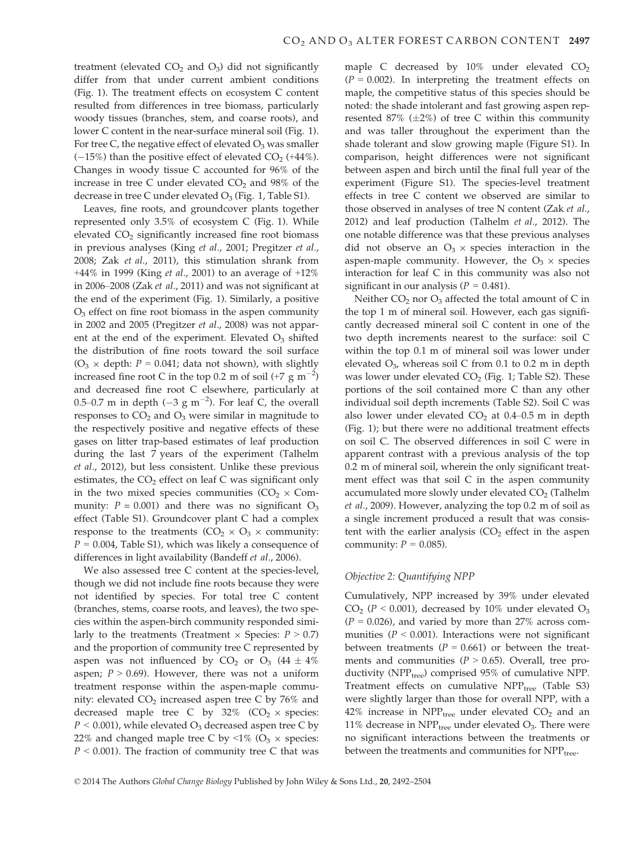treatment (elevated  $CO<sub>2</sub>$  and  $O<sub>3</sub>$ ) did not significantly differ from that under current ambient conditions (Fig. 1). The treatment effects on ecosystem C content resulted from differences in tree biomass, particularly woody tissues (branches, stem, and coarse roots), and lower C content in the near-surface mineral soil (Fig. 1). For tree C, the negative effect of elevated  $O_3$  was smaller  $(-15%)$  than the positive effect of elevated  $CO<sub>2</sub>$  (+44%). Changes in woody tissue C accounted for 96% of the increase in tree C under elevated  $CO<sub>2</sub>$  and 98% of the decrease in tree C under elevated  $O_3$  (Fig. 1, Table S1).

Leaves, fine roots, and groundcover plants together represented only 3.5% of ecosystem C (Fig. 1). While elevated  $CO<sub>2</sub>$  significantly increased fine root biomass in previous analyses (King et al., 2001; Pregitzer et al., 2008; Zak et al., 2011), this stimulation shrank from +44% in 1999 (King *et al.*, 2001) to an average of  $+12\%$ in 2006–2008 (Zak et al., 2011) and was not significant at the end of the experiment (Fig. 1). Similarly, a positive  $O<sub>3</sub>$  effect on fine root biomass in the aspen community in 2002 and 2005 (Pregitzer et al., 2008) was not apparent at the end of the experiment. Elevated  $O_3$  shifted the distribution of fine roots toward the soil surface  $(O_3 \times \text{depth: } P = 0.041$ ; data not shown), with slightly increased fine root C in the top 0.2 m of soil (+7  $\rm g$  m<sup>-2</sup>) and decreased fine root C elsewhere, particularly at 0.5–0.7 m in depth  $(-3 \text{ g m}^{-2})$ . For leaf C, the overall responses to  $CO<sub>2</sub>$  and  $O<sub>3</sub>$  were similar in magnitude to the respectively positive and negative effects of these gases on litter trap-based estimates of leaf production during the last 7 years of the experiment (Talhelm et al., 2012), but less consistent. Unlike these previous estimates, the  $CO<sub>2</sub>$  effect on leaf C was significant only in the two mixed species communities  $(CO<sub>2</sub> \times Com$ munity:  $P = 0.001$ ) and there was no significant  $O_3$ effect (Table S1). Groundcover plant C had a complex response to the treatments  $(CO_2 \times O_3 \times \text{community:})$  $P = 0.004$ , Table S1), which was likely a consequence of differences in light availability (Bandeff et al., 2006).

We also assessed tree C content at the species-level, though we did not include fine roots because they were not identified by species. For total tree C content (branches, stems, coarse roots, and leaves), the two species within the aspen-birch community responded similarly to the treatments (Treatment  $\times$  Species:  $P > 0.7$ ) and the proportion of community tree C represented by aspen was not influenced by  $CO<sub>2</sub>$  or  $O<sub>3</sub>$  (44  $\pm$  4%) aspen;  $P > 0.69$ ). However, there was not a uniform treatment response within the aspen-maple community: elevated  $CO<sub>2</sub>$  increased aspen tree C by 76% and decreased maple tree C by  $32\%$  (CO<sub>2</sub>  $\times$  species:  $P < 0.001$ ), while elevated O<sub>3</sub> decreased aspen tree C by 22% and changed maple tree C by <1% ( $O_3 \times$  species:  $P < 0.001$ ). The fraction of community tree C that was maple C decreased by  $10\%$  under elevated  $CO<sub>2</sub>$  $(P = 0.002)$ . In interpreting the treatment effects on maple, the competitive status of this species should be noted: the shade intolerant and fast growing aspen represented 87%  $(\pm 2\%)$  of tree C within this community and was taller throughout the experiment than the shade tolerant and slow growing maple (Figure S1). In comparison, height differences were not significant between aspen and birch until the final full year of the experiment (Figure S1). The species-level treatment effects in tree C content we observed are similar to those observed in analyses of tree N content (Zak et al., 2012) and leaf production (Talhelm et al., 2012). The one notable difference was that these previous analyses did not observe an  $O_3 \times$  species interaction in the aspen-maple community. However, the  $O_3 \times$  species interaction for leaf C in this community was also not significant in our analysis ( $P = 0.481$ ).

Neither  $CO<sub>2</sub>$  nor  $O<sub>3</sub>$  affected the total amount of C in the top 1 m of mineral soil. However, each gas significantly decreased mineral soil C content in one of the two depth increments nearest to the surface: soil C within the top 0.1 m of mineral soil was lower under elevated  $O<sub>3</sub>$ , whereas soil C from 0.1 to 0.2 m in depth was lower under elevated  $CO<sub>2</sub>$  (Fig. 1; Table S2). These portions of the soil contained more C than any other individual soil depth increments (Table S2). Soil C was also lower under elevated  $CO<sub>2</sub>$  at 0.4–0.5 m in depth (Fig. 1); but there were no additional treatment effects on soil C. The observed differences in soil C were in apparent contrast with a previous analysis of the top 0.2 m of mineral soil, wherein the only significant treatment effect was that soil C in the aspen community accumulated more slowly under elevated  $CO<sub>2</sub>$  (Talhelm et al., 2009). However, analyzing the top 0.2 m of soil as a single increment produced a result that was consistent with the earlier analysis  $(CO<sub>2</sub>$  effect in the aspen community:  $P = 0.085$ ).

## Objective 2: Quantifying NPP

Cumulatively, NPP increased by 39% under elevated  $CO<sub>2</sub>$  (P < 0.001), decreased by 10% under elevated  $O<sub>3</sub>$  $(P = 0.026)$ , and varied by more than 27% across communities ( $P < 0.001$ ). Interactions were not significant between treatments ( $P = 0.661$ ) or between the treatments and communities ( $P > 0.65$ ). Overall, tree productivity (NPP<sub>tree</sub>) comprised 95% of cumulative NPP. Treatment effects on cumulative  $NPP_{tree}$  (Table S3) were slightly larger than those for overall NPP, with a 42% increase in  $NPP_{tree}$  under elevated  $CO<sub>2</sub>$  and an 11% decrease in  $NPP_{tree}$  under elevated  $O_3$ . There were no significant interactions between the treatments or between the treatments and communities for NPP<sub>tree</sub>.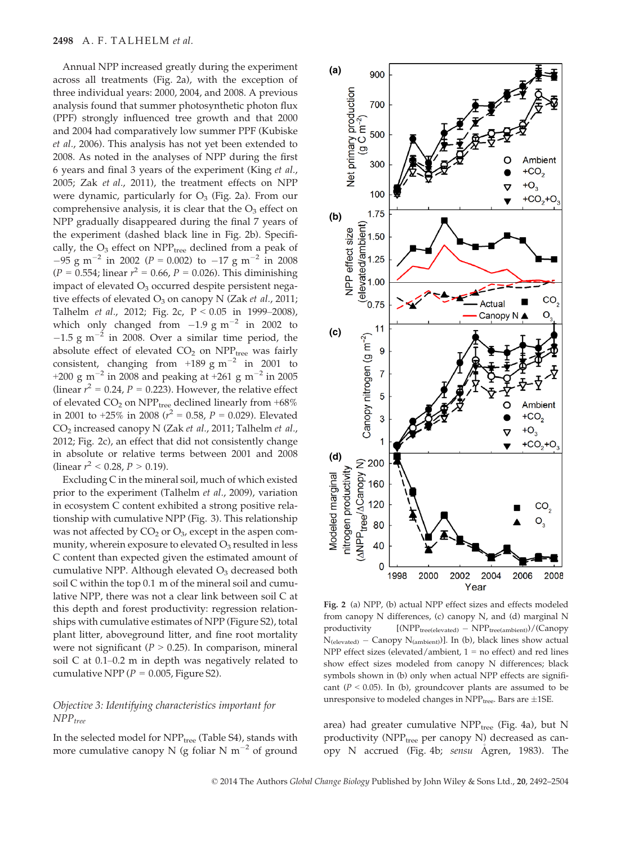Annual NPP increased greatly during the experiment across all treatments (Fig. 2a), with the exception of three individual years: 2000, 2004, and 2008. A previous analysis found that summer photosynthetic photon flux (PPF) strongly influenced tree growth and that 2000 and 2004 had comparatively low summer PPF (Kubiske et al., 2006). This analysis has not yet been extended to 2008. As noted in the analyses of NPP during the first 6 years and final 3 years of the experiment (King et al., 2005; Zak et al., 2011), the treatment effects on NPP were dynamic, particularly for  $O_3$  (Fig. 2a). From our comprehensive analysis, it is clear that the  $O_3$  effect on NPP gradually disappeared during the final 7 years of the experiment (dashed black line in Fig. 2b). Specifically, the  $O_3$  effect on NPP<sub>tree</sub> declined from a peak of  $-95$  g m<sup>-2</sup> in 2002 (P = 0.002) to -17 g m<sup>-2</sup> in 2008  $(P = 0.554$ ; linear  $r^2 = 0.66$ ,  $P = 0.026$ ). This diminishing impact of elevated  $O_3$  occurred despite persistent negative effects of elevated  $O_3$  on canopy N (Zak et al., 2011; Talhelm et al., 2012; Fig. 2c, P < 0.05 in 1999–2008), which only changed from  $-1.9 \text{ g m}^{-2}$  in 2002 to  $-1.5$  g m<sup>-2</sup> in 2008. Over a similar time period, the absolute effect of elevated  $CO<sub>2</sub>$  on  $NPP<sub>tree</sub>$  was fairly consistent, changing from  $+189 \text{ g m}^{-2}$  in 2001 to +200 g m<sup>-2</sup> in 2008 and peaking at +261 g m<sup>-2</sup> in 2005 (linear  $r^2 = 0.24$ ,  $P = 0.223$ ). However, the relative effect of elevated  $CO<sub>2</sub>$  on NPP<sub>tree</sub> declined linearly from  $+68\%$ in 2001 to  $+25\%$  in 2008 ( $r^2 = 0.58$ ,  $P = 0.029$ ). Elevated CO2 increased canopy N (Zak et al., 2011; Talhelm et al., 2012; Fig. 2c), an effect that did not consistently change in absolute or relative terms between 2001 and 2008 (linear  $r^2$  < 0.28,  $P > 0.19$ ).

Excluding C in the mineral soil, much of which existed prior to the experiment (Talhelm et al., 2009), variation in ecosystem C content exhibited a strong positive relationship with cumulative NPP (Fig. 3). This relationship was not affected by  $CO<sub>2</sub>$  or  $O<sub>3</sub>$ , except in the aspen community, wherein exposure to elevated  $O_3$  resulted in less C content than expected given the estimated amount of cumulative NPP. Although elevated  $O<sub>3</sub>$  decreased both soil C within the top 0.1 m of the mineral soil and cumulative NPP, there was not a clear link between soil C at this depth and forest productivity: regression relationships with cumulative estimates of NPP (Figure S2), total plant litter, aboveground litter, and fine root mortality were not significant ( $P > 0.25$ ). In comparison, mineral soil C at 0.1–0.2 m in depth was negatively related to cumulative NPP ( $P = 0.005$ , Figure S2).

# Objective 3: Identifying characteristics important for  $NPP_{tree}$

In the selected model for NPP<sub>tree</sub> (Table S4), stands with more cumulative canopy N (g foliar N  $m^{-2}$  of ground



Fig. 2 (a) NPP, (b) actual NPP effect sizes and effects modeled from canopy N differences, (c) canopy N, and (d) marginal N  $productivity$  [(NPP<sub>tree(elevated)</sub> - NPP<sub>tree(ambient)</sub>)/(Canopy  $N_{\text{(elevated)}} - \text{Ca nopy } N_{\text{(ambient)}}$ ]. In (b), black lines show actual NPP effect sizes (elevated/ambient,  $1 =$  no effect) and red lines show effect sizes modeled from canopy N differences; black symbols shown in (b) only when actual NPP effects are significant ( $P < 0.05$ ). In (b), groundcover plants are assumed to be unresponsive to modeled changes in  $NPP_{\text{tree}}$ . Bars are  $\pm 1SE$ .

area) had greater cumulative  $NPP_{tree}$  (Fig. 4a), but N productivity (NPP<sub>tree</sub> per canopy N) decreased as canopy N accrued (Fig. 4b; sensu Agren, 1983). The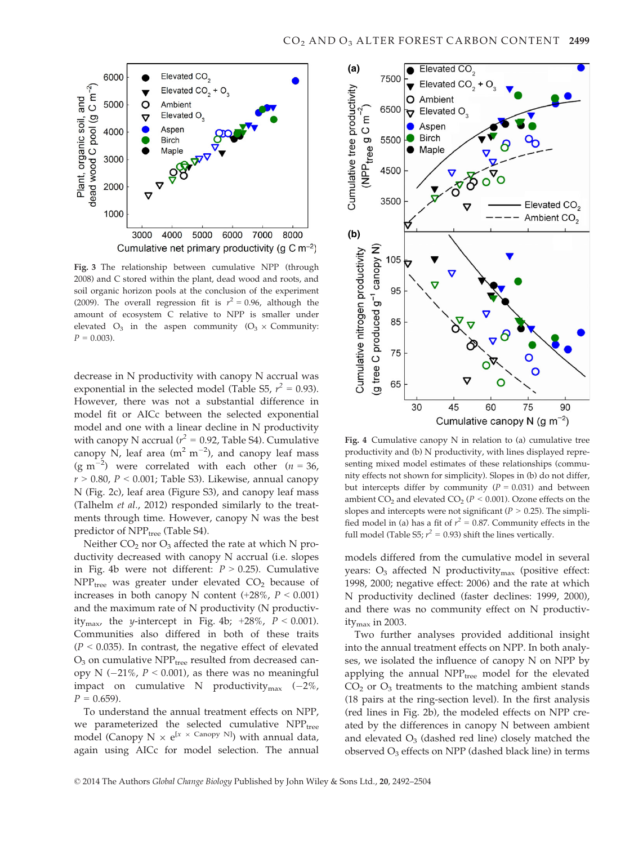

Fig. 3 The relationship between cumulative NPP (through 2008) and C stored within the plant, dead wood and roots, and soil organic horizon pools at the conclusion of the experiment (2009). The overall regression fit is  $r^2 = 0.96$ , although the amount of ecosystem C relative to NPP is smaller under elevated  $O_3$  in the aspen community  $(O_3 \times$  Community:  $P = 0.003$ ).

decrease in N productivity with canopy N accrual was exponential in the selected model (Table S5,  $r^2 = 0.93$ ). However, there was not a substantial difference in model fit or AICc between the selected exponential model and one with a linear decline in N productivity with canopy N accrual ( $r^2 = 0.92$ , Table S4). Cumulative canopy N, leaf area  $(m^2 m^{-2})$ , and canopy leaf mass (g m<sup>-2</sup>) were correlated with each other ( $n = 36$ ,  $r > 0.80$ ,  $P < 0.001$ ; Table S3). Likewise, annual canopy N (Fig. 2c), leaf area (Figure S3), and canopy leaf mass (Talhelm et al., 2012) responded similarly to the treatments through time. However, canopy N was the best predictor of NPP<sub>tree</sub> (Table S4).

Neither  $CO<sub>2</sub>$  nor  $O<sub>3</sub>$  affected the rate at which N productivity decreased with canopy N accrual (i.e. slopes in Fig. 4b were not different:  $P > 0.25$ ). Cumulative  $NPP<sub>tree</sub>$  was greater under elevated  $CO<sub>2</sub>$  because of increases in both canopy N content  $(+28\%, P < 0.001)$ and the maximum rate of N productivity (N productivity<sub>max</sub>, the y-intercept in Fig. 4b; +28%,  $P < 0.001$ ). Communities also differed in both of these traits  $(P < 0.035)$ . In contrast, the negative effect of elevated  $O<sub>3</sub>$  on cumulative NPP<sub>tree</sub> resulted from decreased canopy N ( $-21\%$ ,  $P < 0.001$ ), as there was no meaningful impact on cumulative N productivity $_{\text{max}}$  (-2%,  $P = 0.659$ .

To understand the annual treatment effects on NPP, we parameterized the selected cumulative  $NPP_{tree}$ model (Canopy N  $\times$  e<sup>[x  $\times$  Canopy N]</sup>) with annual data, again using AICc for model selection. The annual



Fig. 4 Cumulative canopy N in relation to (a) cumulative tree productivity and (b) N productivity, with lines displayed representing mixed model estimates of these relationships (community effects not shown for simplicity). Slopes in (b) do not differ, but intercepts differ by community  $(P = 0.031)$  and between ambient  $CO<sub>2</sub>$  and elevated  $CO<sub>2</sub>$  ( $P < 0.001$ ). Ozone effects on the slopes and intercepts were not significant ( $P > 0.25$ ). The simplified model in (a) has a fit of  $r^2 = 0.87$ . Community effects in the full model (Table S5;  $r^2 = 0.93$ ) shift the lines vertically.

models differed from the cumulative model in several years:  $O_3$  affected N productivity<sub>max</sub> (positive effect: 1998, 2000; negative effect: 2006) and the rate at which N productivity declined (faster declines: 1999, 2000), and there was no community effect on N productivity $_{\text{max}}$  in 2003.

Two further analyses provided additional insight into the annual treatment effects on NPP. In both analyses, we isolated the influence of canopy N on NPP by applying the annual NPP<sub>tree</sub> model for the elevated  $CO<sub>2</sub>$  or  $O<sub>3</sub>$  treatments to the matching ambient stands (18 pairs at the ring-section level). In the first analysis (red lines in Fig. 2b), the modeled effects on NPP created by the differences in canopy N between ambient and elevated  $O_3$  (dashed red line) closely matched the observed  $O_3$  effects on NPP (dashed black line) in terms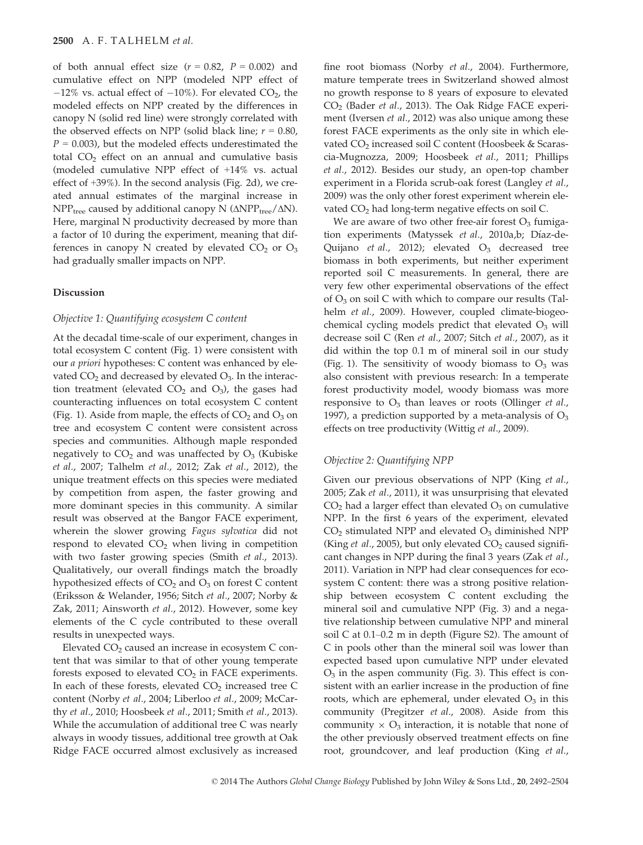of both annual effect size  $(r = 0.82, P = 0.002)$  and cumulative effect on NPP (modeled NPP effect of  $-12\%$  vs. actual effect of  $-10\%$ ). For elevated CO<sub>2</sub>, the modeled effects on NPP created by the differences in canopy N (solid red line) were strongly correlated with the observed effects on NPP (solid black line;  $r = 0.80$ ,  $P = 0.003$ ), but the modeled effects underestimated the total  $CO<sub>2</sub>$  effect on an annual and cumulative basis (modeled cumulative NPP effect of +14% vs. actual effect of +39%). In the second analysis (Fig. 2d), we created annual estimates of the marginal increase in  $NPP_{tree}$  caused by additional canopy N ( $\triangle NPP_{tree}/\triangle N$ ). Here, marginal N productivity decreased by more than a factor of 10 during the experiment, meaning that differences in canopy N created by elevated  $CO<sub>2</sub>$  or  $O<sub>3</sub>$ had gradually smaller impacts on NPP.

## Discussion

# Objective 1: Quantifying ecosystem C content

At the decadal time-scale of our experiment, changes in total ecosystem C content (Fig. 1) were consistent with our a priori hypotheses: C content was enhanced by elevated  $CO<sub>2</sub>$  and decreased by elevated  $O<sub>3</sub>$ . In the interaction treatment (elevated  $CO<sub>2</sub>$  and  $O<sub>3</sub>$ ), the gases had counteracting influences on total ecosystem C content (Fig. 1). Aside from maple, the effects of  $CO<sub>2</sub>$  and  $O<sub>3</sub>$  on tree and ecosystem C content were consistent across species and communities. Although maple responded negatively to  $CO<sub>2</sub>$  and was unaffected by  $O<sub>3</sub>$  (Kubiske et al., 2007; Talhelm et al., 2012; Zak et al., 2012), the unique treatment effects on this species were mediated by competition from aspen, the faster growing and more dominant species in this community. A similar result was observed at the Bangor FACE experiment, wherein the slower growing Fagus sylvatica did not respond to elevated  $CO<sub>2</sub>$  when living in competition with two faster growing species (Smith et al., 2013). Qualitatively, our overall findings match the broadly hypothesized effects of  $CO<sub>2</sub>$  and  $O<sub>3</sub>$  on forest C content (Eriksson & Welander, 1956; Sitch et al., 2007; Norby & Zak, 2011; Ainsworth et al., 2012). However, some key elements of the C cycle contributed to these overall results in unexpected ways.

Elevated  $CO<sub>2</sub>$  caused an increase in ecosystem C content that was similar to that of other young temperate forests exposed to elevated  $CO<sub>2</sub>$  in FACE experiments. In each of these forests, elevated  $CO<sub>2</sub>$  increased tree C content (Norby et al., 2004; Liberloo et al., 2009; McCarthy et al., 2010; Hoosbeek et al., 2011; Smith et al., 2013). While the accumulation of additional tree C was nearly always in woody tissues, additional tree growth at Oak Ridge FACE occurred almost exclusively as increased fine root biomass (Norby et al., 2004). Furthermore, mature temperate trees in Switzerland showed almost no growth response to 8 years of exposure to elevated CO<sub>2</sub> (Bader et al., 2013). The Oak Ridge FACE experiment (Iversen et al., 2012) was also unique among these forest FACE experiments as the only site in which elevated CO<sub>2</sub> increased soil C content (Hoosbeek & Scarascia-Mugnozza, 2009; Hoosbeek et al., 2011; Phillips et al., 2012). Besides our study, an open-top chamber experiment in a Florida scrub-oak forest (Langley et al., 2009) was the only other forest experiment wherein elevated  $CO<sub>2</sub>$  had long-term negative effects on soil C.

We are aware of two other free-air forest  $O_3$  fumigation experiments (Matyssek et al., 2010a,b; Díaz-de-Quijano et al., 2012); elevated  $O_3$  decreased tree biomass in both experiments, but neither experiment reported soil C measurements. In general, there are very few other experimental observations of the effect of  $O_3$  on soil C with which to compare our results (Talhelm et al., 2009). However, coupled climate-biogeochemical cycling models predict that elevated  $O_3$  will decrease soil C (Ren et al., 2007; Sitch et al., 2007), as it did within the top 0.1 m of mineral soil in our study (Fig. 1). The sensitivity of woody biomass to  $O_3$  was also consistent with previous research: In a temperate forest productivity model, woody biomass was more responsive to  $O_3$  than leaves or roots (Ollinger *et al.*, 1997), a prediction supported by a meta-analysis of  $O_3$ effects on tree productivity (Wittig et al., 2009).

# Objective 2: Quantifying NPP

Given our previous observations of NPP (King et al., 2005; Zak et al., 2011), it was unsurprising that elevated  $CO<sub>2</sub>$  had a larger effect than elevated  $O<sub>3</sub>$  on cumulative NPP. In the first 6 years of the experiment, elevated  $CO<sub>2</sub>$  stimulated NPP and elevated  $O<sub>3</sub>$  diminished NPP (King et al., 2005), but only elevated  $CO<sub>2</sub>$  caused significant changes in NPP during the final 3 years (Zak et al., 2011). Variation in NPP had clear consequences for ecosystem C content: there was a strong positive relationship between ecosystem C content excluding the mineral soil and cumulative NPP (Fig. 3) and a negative relationship between cumulative NPP and mineral soil C at 0.1–0.2 m in depth (Figure S2). The amount of C in pools other than the mineral soil was lower than expected based upon cumulative NPP under elevated  $O_3$  in the aspen community (Fig. 3). This effect is consistent with an earlier increase in the production of fine roots, which are ephemeral, under elevated  $O_3$  in this community (Pregitzer et al., 2008). Aside from this community  $\times$  O<sub>3</sub> interaction, it is notable that none of the other previously observed treatment effects on fine root, groundcover, and leaf production (King et al.,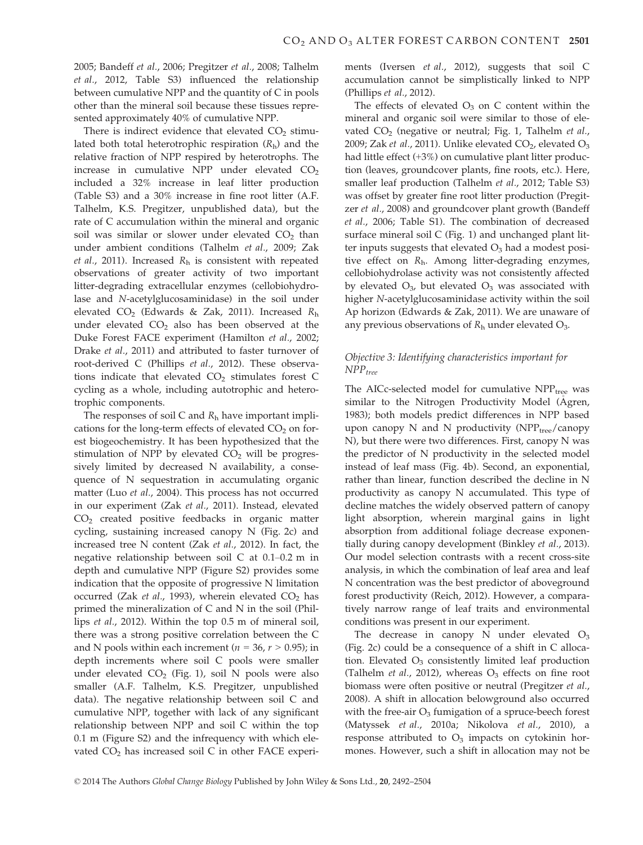2005; Bandeff et al., 2006; Pregitzer et al., 2008; Talhelm et al., 2012, Table S3) influenced the relationship between cumulative NPP and the quantity of C in pools other than the mineral soil because these tissues represented approximately 40% of cumulative NPP.

There is indirect evidence that elevated  $CO<sub>2</sub>$  stimulated both total heterotrophic respiration  $(R<sub>h</sub>)$  and the relative fraction of NPP respired by heterotrophs. The increase in cumulative NPP under elevated  $CO<sub>2</sub>$ included a 32% increase in leaf litter production (Table S3) and a 30% increase in fine root litter (A.F. Talhelm, K.S. Pregitzer, unpublished data), but the rate of C accumulation within the mineral and organic soil was similar or slower under elevated  $CO<sub>2</sub>$  than under ambient conditions (Talhelm et al., 2009; Zak et al., 2011). Increased  $R_h$  is consistent with repeated observations of greater activity of two important litter-degrading extracellular enzymes (cellobiohydrolase and N-acetylglucosaminidase) in the soil under elevated  $CO_2$  (Edwards & Zak, 2011). Increased  $R_h$ under elevated  $CO<sub>2</sub>$  also has been observed at the Duke Forest FACE experiment (Hamilton et al., 2002; Drake et al., 2011) and attributed to faster turnover of root-derived C (Phillips et al., 2012). These observations indicate that elevated  $CO<sub>2</sub>$  stimulates forest C cycling as a whole, including autotrophic and heterotrophic components.

The responses of soil C and  $R_h$  have important implications for the long-term effects of elevated  $CO<sub>2</sub>$  on forest biogeochemistry. It has been hypothesized that the stimulation of NPP by elevated  $CO<sub>2</sub>$  will be progressively limited by decreased N availability, a consequence of N sequestration in accumulating organic matter (Luo et al., 2004). This process has not occurred in our experiment (Zak et al., 2011). Instead, elevated CO2 created positive feedbacks in organic matter cycling, sustaining increased canopy N (Fig. 2c) and increased tree N content (Zak et al., 2012). In fact, the negative relationship between soil C at 0.1–0.2 m in depth and cumulative NPP (Figure S2) provides some indication that the opposite of progressive N limitation occurred (Zak *et al.*, 1993), wherein elevated  $CO<sub>2</sub>$  has primed the mineralization of C and N in the soil (Phillips et al., 2012). Within the top 0.5 m of mineral soil, there was a strong positive correlation between the C and N pools within each increment ( $n = 36$ ,  $r > 0.95$ ); in depth increments where soil C pools were smaller under elevated  $CO<sub>2</sub>$  (Fig. 1), soil N pools were also smaller (A.F. Talhelm, K.S. Pregitzer, unpublished data). The negative relationship between soil C and cumulative NPP, together with lack of any significant relationship between NPP and soil C within the top 0.1 m (Figure S2) and the infrequency with which elevated  $CO<sub>2</sub>$  has increased soil C in other FACE experiments (Iversen et al., 2012), suggests that soil C accumulation cannot be simplistically linked to NPP (Phillips et al., 2012).

The effects of elevated  $O_3$  on C content within the mineral and organic soil were similar to those of elevated  $CO<sub>2</sub>$  (negative or neutral; Fig. 1, Talhelm et al., 2009; Zak et al., 2011). Unlike elevated  $CO<sub>2</sub>$ , elevated  $O<sub>3</sub>$ had little effect (+3%) on cumulative plant litter production (leaves, groundcover plants, fine roots, etc.). Here, smaller leaf production (Talhelm et al., 2012; Table S3) was offset by greater fine root litter production (Pregitzer et al., 2008) and groundcover plant growth (Bandeff et al., 2006; Table S1). The combination of decreased surface mineral soil C (Fig. 1) and unchanged plant litter inputs suggests that elevated  $O_3$  had a modest positive effect on  $R_h$ . Among litter-degrading enzymes, cellobiohydrolase activity was not consistently affected by elevated  $O_3$ , but elevated  $O_3$  was associated with higher N-acetylglucosaminidase activity within the soil Ap horizon (Edwards & Zak, 2011). We are unaware of any previous observations of  $R<sub>h</sub>$  under elevated  $O<sub>3</sub>$ .

# Objective 3: Identifying characteristics important for  $NPP_{tree}$

The AICc-selected model for cumulative  $NPP_{\text{tree}}$  was similar to the Nitrogen Productivity Model (Agren, 1983); both models predict differences in NPP based upon canopy  $N$  and  $N$  productivity (NPP<sub>tree</sub>/canopy N), but there were two differences. First, canopy N was the predictor of N productivity in the selected model instead of leaf mass (Fig. 4b). Second, an exponential, rather than linear, function described the decline in N productivity as canopy N accumulated. This type of decline matches the widely observed pattern of canopy light absorption, wherein marginal gains in light absorption from additional foliage decrease exponentially during canopy development (Binkley et al., 2013). Our model selection contrasts with a recent cross-site analysis, in which the combination of leaf area and leaf N concentration was the best predictor of aboveground forest productivity (Reich, 2012). However, a comparatively narrow range of leaf traits and environmental conditions was present in our experiment.

The decrease in canopy  $N$  under elevated  $O_3$ (Fig. 2c) could be a consequence of a shift in C allocation. Elevated  $O_3$  consistently limited leaf production (Talhelm *et al.*, 2012), whereas  $O_3$  effects on fine root biomass were often positive or neutral (Pregitzer et al., 2008). A shift in allocation belowground also occurred with the free-air  $O_3$  fumigation of a spruce-beech forest (Matyssek et al., 2010a; Nikolova et al., 2010), a response attributed to  $O_3$  impacts on cytokinin hormones. However, such a shift in allocation may not be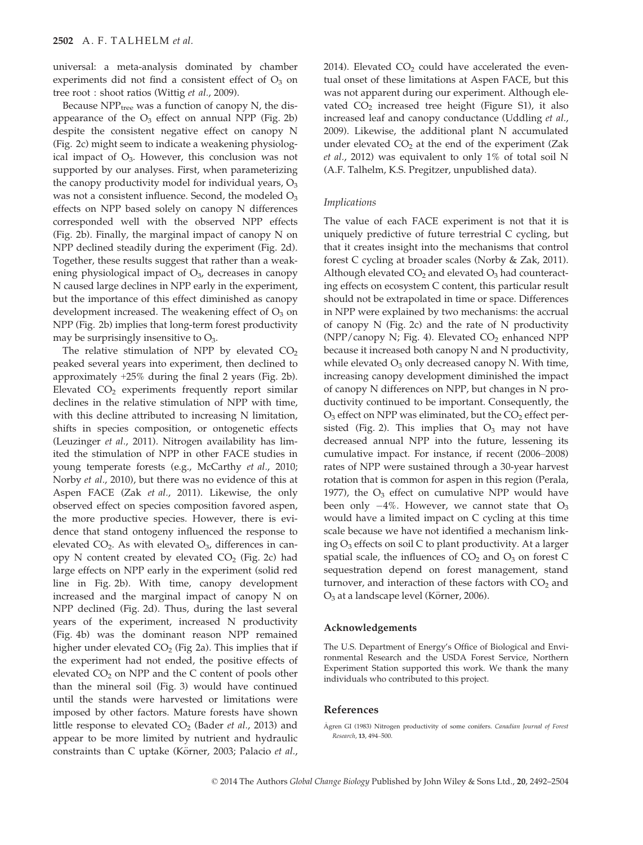universal: a meta-analysis dominated by chamber experiments did not find a consistent effect of  $O_3$  on tree root : shoot ratios (Wittig et al., 2009).

Because  $NPP_{tree}$  was a function of canopy N, the disappearance of the  $O_3$  effect on annual NPP (Fig. 2b) despite the consistent negative effect on canopy N (Fig. 2c) might seem to indicate a weakening physiological impact of  $O_3$ . However, this conclusion was not supported by our analyses. First, when parameterizing the canopy productivity model for individual years,  $O_3$ was not a consistent influence. Second, the modeled  $O_3$ effects on NPP based solely on canopy N differences corresponded well with the observed NPP effects (Fig. 2b). Finally, the marginal impact of canopy N on NPP declined steadily during the experiment (Fig. 2d). Together, these results suggest that rather than a weakening physiological impact of  $O<sub>3</sub>$ , decreases in canopy N caused large declines in NPP early in the experiment, but the importance of this effect diminished as canopy development increased. The weakening effect of  $O<sub>3</sub>$  on NPP (Fig. 2b) implies that long-term forest productivity may be surprisingly insensitive to  $O_3$ .

The relative stimulation of NPP by elevated  $CO<sub>2</sub>$ peaked several years into experiment, then declined to approximately +25% during the final 2 years (Fig. 2b). Elevated  $CO<sub>2</sub>$  experiments frequently report similar declines in the relative stimulation of NPP with time, with this decline attributed to increasing N limitation, shifts in species composition, or ontogenetic effects (Leuzinger et al., 2011). Nitrogen availability has limited the stimulation of NPP in other FACE studies in young temperate forests (e.g., McCarthy et al., 2010; Norby et al., 2010), but there was no evidence of this at Aspen FACE (Zak et al., 2011). Likewise, the only observed effect on species composition favored aspen, the more productive species. However, there is evidence that stand ontogeny influenced the response to elevated  $CO<sub>2</sub>$ . As with elevated  $O<sub>3</sub>$ , differences in canopy N content created by elevated  $CO<sub>2</sub>$  (Fig. 2c) had large effects on NPP early in the experiment (solid red line in Fig. 2b). With time, canopy development increased and the marginal impact of canopy N on NPP declined (Fig. 2d). Thus, during the last several years of the experiment, increased N productivity (Fig. 4b) was the dominant reason NPP remained higher under elevated  $CO<sub>2</sub>$  (Fig 2a). This implies that if the experiment had not ended, the positive effects of elevated CO<sub>2</sub> on NPP and the C content of pools other than the mineral soil (Fig. 3) would have continued until the stands were harvested or limitations were imposed by other factors. Mature forests have shown little response to elevated  $CO<sub>2</sub>$  (Bader et al., 2013) and appear to be more limited by nutrient and hydraulic constraints than C uptake (Körner, 2003; Palacio et al.,

2014). Elevated  $CO<sub>2</sub>$  could have accelerated the eventual onset of these limitations at Aspen FACE, but this was not apparent during our experiment. Although elevated  $CO<sub>2</sub>$  increased tree height (Figure S1), it also increased leaf and canopy conductance (Uddling et al., 2009). Likewise, the additional plant N accumulated under elevated  $CO<sub>2</sub>$  at the end of the experiment (Zak et al., 2012) was equivalent to only 1% of total soil N (A.F. Talhelm, K.S. Pregitzer, unpublished data).

## Implications

The value of each FACE experiment is not that it is uniquely predictive of future terrestrial C cycling, but that it creates insight into the mechanisms that control forest C cycling at broader scales (Norby & Zak, 2011). Although elevated  $CO<sub>2</sub>$  and elevated  $O<sub>3</sub>$  had counteracting effects on ecosystem C content, this particular result should not be extrapolated in time or space. Differences in NPP were explained by two mechanisms: the accrual of canopy N (Fig. 2c) and the rate of N productivity (NPP/canopy N; Fig. 4). Elevated  $CO<sub>2</sub>$  enhanced NPP because it increased both canopy N and N productivity, while elevated  $O_3$  only decreased canopy N. With time, increasing canopy development diminished the impact of canopy N differences on NPP, but changes in N productivity continued to be important. Consequently, the  $O_3$  effect on NPP was eliminated, but the  $CO_2$  effect persisted (Fig. 2). This implies that  $O_3$  may not have decreased annual NPP into the future, lessening its cumulative impact. For instance, if recent (2006–2008) rates of NPP were sustained through a 30-year harvest rotation that is common for aspen in this region (Perala, 1977), the  $O_3$  effect on cumulative NPP would have been only  $-4\%$ . However, we cannot state that  $O_3$ would have a limited impact on C cycling at this time scale because we have not identified a mechanism linking O<sub>3</sub> effects on soil C to plant productivity. At a larger spatial scale, the influences of  $CO<sub>2</sub>$  and  $O<sub>3</sub>$  on forest C sequestration depend on forest management, stand turnover, and interaction of these factors with  $CO<sub>2</sub>$  and  $O<sub>3</sub>$  at a landscape level (Körner, 2006).

# Acknowledgements

The U.S. Department of Energy's Office of Biological and Environmental Research and the USDA Forest Service, Northern Experiment Station supported this work. We thank the many individuals who contributed to this project.

# References

Ågren GI (1983) Nitrogen productivity of some conifers. Canadian Journal of Forest Research, 13, 494–500.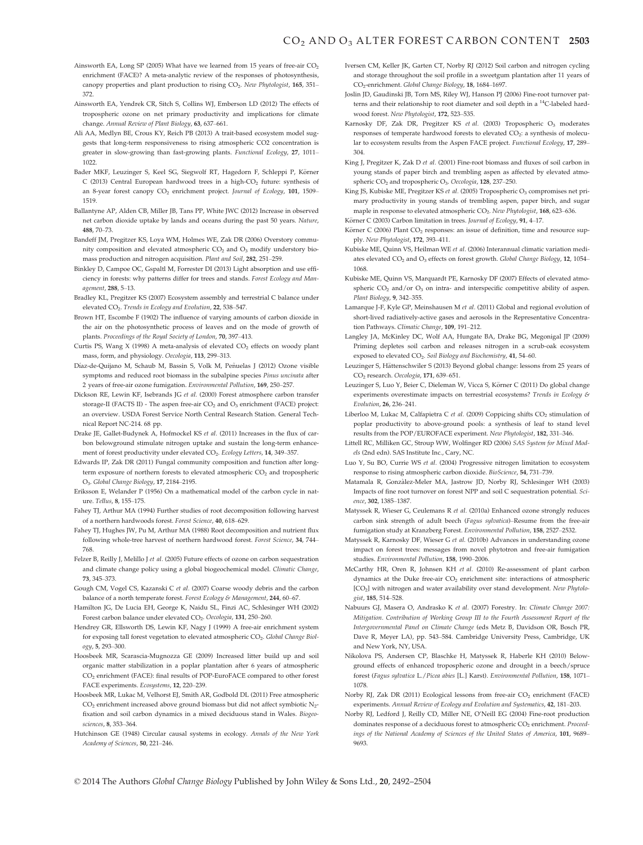- Ainsworth EA, Long SP (2005) What have we learned from 15 years of free-air  $CO<sub>2</sub>$ enrichment (FACE)? A meta-analytic review of the responses of photosynthesis, canopy properties and plant production to rising CO<sub>2</sub>. New Phytologist, 165, 351-372.
- Ainsworth EA, Yendrek CR, Sitch S, Collins WJ, Emberson LD (2012) The effects of tropospheric ozone on net primary productivity and implications for climate change. Annual Review of Plant Biology, 63, 637–661.
- Ali AA, Medlyn BE, Crous KY, Reich PB (2013) A trait-based ecosystem model suggests that long-term responsiveness to rising atmospheric CO2 concentration is greater in slow-growing than fast-growing plants. Functional Ecology, 27, 1011– 1022.
- Bader MKF, Leuzinger S, Keel SG, Siegwolf RT, Hagedorn F, Schleppi P, Körner  $C(2013)$  Central European hardwood trees in a high- $CO<sub>2</sub>$  future: synthesis of an 8-year forest canopy CO<sub>2</sub> enrichment project. Journal of Ecology, 101, 1509-1519.
- Ballantyne AP, Alden CB, Miller JB, Tans PP, White JWC (2012) Increase in observed net carbon dioxide uptake by lands and oceans during the past 50 years. Nature, 488, 70–73.
- Bandeff JM, Pregitzer KS, Loya WM, Holmes WE, Zak DR (2006) Overstory community composition and elevated atmospheric CO<sub>2</sub> and O<sub>3</sub> modify understory biomass production and nitrogen acquisition. Plant and Soil, 282, 251–259.
- Binkley D, Campoe OC, Gspaltl M, Forrester DI (2013) Light absorption and use efficiency in forests: why patterns differ for trees and stands. Forest Ecology and Management, 288, 5–13.
- Bradley KL, Pregitzer KS (2007) Ecosystem assembly and terrestrial C balance under elevated CO<sub>2</sub>. Trends in Ecology and Evolution, 22, 538-547.
- Brown HT, Escombe F (1902) The influence of varying amounts of carbon dioxide in the air on the photosynthetic process of leaves and on the mode of growth of plants. Proceedings of the Royal Society of London, 70, 397–413.
- Curtis PS, Wang X (1998) A meta-analysis of elevated CO<sub>2</sub> effects on woody plant mass, form, and physiology. Oecologia, 113, 299–313.
- Díaz-de-Quijano M, Schaub M, Bassin S, Volk M, Peñuelas J (2012) Ozone visible symptoms and reduced root biomass in the subalpine species Pinus uncinata after 2 years of free-air ozone fumigation. Environmental Pollution, 169, 250–257.
- Dickson RE, Lewin KF, Isebrands JG et al. (2000) Forest atmosphere carbon transfer storage-II (FACTS II) - The aspen free-air  $CO<sub>2</sub>$  and  $O<sub>2</sub>$  enrichment (FACE) project: an overview. USDA Forest Service North Central Research Station. General Technical Report NC-214. 68 pp.
- Drake JE, Gallet-Budynek A, Hofmockel KS et al. (2011) Increases in the flux of carbon belowground stimulate nitrogen uptake and sustain the long-term enhancement of forest productivity under elevated CO<sub>2</sub>. Ecology Letters, 14, 349-357.
- Edwards IP, Zak DR (2011) Fungal community composition and function after longterm exposure of northern forests to elevated atmospheric CO<sub>2</sub> and tropospheric O3. Global Change Biology, 17, 2184–2195.
- Eriksson E, Welander P (1956) On a mathematical model of the carbon cycle in nature. Tellus, 8, 155–175.
- Fahey TJ, Arthur MA (1994) Further studies of root decomposition following harvest of a northern hardwoods forest. Forest Science, 40, 618–629.
- Fahey TJ, Hughes JW, Pu M, Arthur MA (1988) Root decomposition and nutrient flux following whole-tree harvest of northern hardwood forest. Forest Science, 34, 744– 768.
- Felzer B, Reilly J, Melillo J et al. (2005) Future effects of ozone on carbon sequestration and climate change policy using a global biogeochemical model. Climatic Change, 73, 345–373.
- Gough CM, Vogel CS, Kazanski C et al. (2007) Coarse woody debris and the carbon balance of a north temperate forest. Forest Ecology & Management, 244, 60-67.
- Hamilton JG, De Lucia EH, George K, Naidu SL, Finzi AC, Schlesinger WH (2002) Forest carbon balance under elevated CO<sub>2</sub>. Oecologia, 131, 250-260.
- Hendrey GR, Ellsworth DS, Lewin KF, Nagy J (1999) A free-air enrichment system for exposing tall forest vegetation to elevated atmospheric CO<sub>2</sub>. Global Change Biology, 5, 293–300.
- Hoosbeek MR, Scarascia-Mugnozza GE (2009) Increased litter build up and soil organic matter stabilization in a poplar plantation after 6 years of atmospheric CO2 enrichment (FACE): final results of POP-EuroFACE compared to other forest FACE experiments. Ecosystems, 12, 220–239.
- Hoosbeek MR, Lukac M, Velhorst EJ, Smith AR, Godbold DL (2011) Free atmospheric CO<sub>2</sub> enrichment increased above ground biomass but did not affect symbiotic N<sub>2</sub>fixation and soil carbon dynamics in a mixed deciduous stand in Wales. Biogeosciences, 8, 353–364.
- Hutchinson GE (1948) Circular causal systems in ecology. Annals of the New York Academy of Sciences, 50, 221–246.
- Iversen CM, Keller JK, Garten CT, Norby RJ (2012) Soil carbon and nitrogen cycling and storage throughout the soil profile in a sweetgum plantation after 11 years of CO2-enrichment. Global Change Biology, 18, 1684–1697.
- Joslin JD, Gaudinski JB, Torn MS, Riley WJ, Hanson PJ (2006) Fine-root turnover patterns and their relationship to root diameter and soil depth in a 14C-labeled hardwood forest. New Phytologist, 172, 523–535.
- Karnosky DF, Zak DR, Pregitzer KS et al. (2003) Tropospheric O<sub>3</sub> moderates responses of temperate hardwood forests to elevated CO2: a synthesis of molecular to ecosystem results from the Aspen FACE project. Functional Ecology, 17, 289– 304.
- King J, Pregitzer K, Zak D et al. (2001) Fine-root biomass and fluxes of soil carbon in young stands of paper birch and trembling aspen as affected by elevated atmospheric CO<sub>2</sub> and tropospheric O<sub>3</sub>. Oecologia, 128, 237-250.
- King JS, Kubiske ME, Pregitzer KS et al. (2005) Tropospheric O<sub>3</sub> compromises net primary productivity in young stands of trembling aspen, paper birch, and sugar maple in response to elevated atmospheric CO<sub>2</sub>. New Phytologist, 168, 623-636.
- Körner C (2003) Carbon limitation in trees. Journal of Ecology, 91, 4–17.
- Körner C (2006) Plant CO<sub>2</sub> responses: an issue of definition, time and resource supply. New Phytologist, 172, 393–411.
- Kubiske ME, Quinn VS, Heilman WE et al. (2006) Interannual climatic variation mediates elevated CO<sub>2</sub> and O<sub>3</sub> effects on forest growth. Global Change Biology, 12, 1054-1068.
- Kubiske ME, Quinn VS, Marquardt PE, Karnosky DF (2007) Effects of elevated atmospheric CO<sub>2</sub> and/or O<sub>3</sub> on intra- and interspecific competitive ability of aspen. Plant Biology, 9, 342–355.
- Lamarque J-F, Kyle GP, Meinshausen M et al. (2011) Global and regional evolution of short-lived radiatively-active gases and aerosols in the Representative Concentration Pathways. Climatic Change, 109, 191–212.
- Langley JA, McKinley DC, Wolf AA, Hungate BA, Drake BG, Megonigal JP (2009) Priming depletes soil carbon and releases nitrogen in a scrub-oak ecosystem exposed to elevated CO<sub>2</sub>. Soil Biology and Biochemistry, 41, 54-60.
- Leuzinger S, Hättenschwiler S (2013) Beyond global change: lessons from 25 years of CO<sub>2</sub> research. Oecologia, 171, 639-651.
- Leuzinger S, Luo Y, Beier C, Dieleman W, Vicca S, Körner C (2011) Do global change experiments overestimate impacts on terrestrial ecosystems? Trends in Ecology & Evolution, 26, 236–241.
- Liberloo M, Lukac M, Calfapietra C et al. (2009) Coppicing shifts  $CO<sub>2</sub>$  stimulation of poplar productivity to above-ground pools: a synthesis of leaf to stand level results from the POP/EUROFACE experiment. New Phytologist, 182, 331–346.
- Littell RC, Milliken GC, Stroup WW, Wolfinger RD (2006) SAS System for Mixed Models (2nd edn). SAS Institute Inc., Cary, NC.
- Luo Y, Su BO, Currie WS et al. (2004) Progressive nitrogen limitation to ecosystem response to rising atmospheric carbon dioxide. BioScience, 54, 731–739.
- Matamala R, Gonzalez-Meler MA, Jastrow JD, Norby RJ, Schlesinger WH (2003) Impacts of fine root turnover on forest NPP and soil C sequestration potential. Science, 302, 1385–1387.
- Matyssek R, Wieser G, Ceulemans R et al. (2010a) Enhanced ozone strongly reduces carbon sink strength of adult beech (Fagus sylvatica)–Resume from the free-air fumigation study at Kranzberg Forest. Environmental Pollution, 158, 2527–2532.
- Matyssek R, Karnosky DF, Wieser G et al. (2010b) Advances in understanding ozone impact on forest trees: messages from novel phytotron and free-air fumigation studies. Environmental Pollution, 158, 1990–2006.
- McCarthy HR, Oren R, Johnsen KH et al. (2010) Re-assessment of plant carbon dynamics at the Duke free-air  $CO<sub>2</sub>$  enrichment site: interactions of atmospheric [CO<sub>2</sub>] with nitrogen and water availability over stand development. New Phytologist, 185, 514–528.
- Nabuurs GJ, Masera O, Andrasko K et al. (2007) Forestry. In: Climate Change 2007: Mitigation. Contribution of Working Group III to the Fourth Assessment Report of the Intergovernmental Panel on Climate Change (eds Metz B, Davidson OR, Bosch PR, Dave R, Meyer LA), pp. 543–584. Cambridge University Press, Cambridge, UK and New York, NY, USA.
- Nikolova PS, Andersen CP, Blaschke H, Matyssek R, Haberle KH (2010) Belowground effects of enhanced tropospheric ozone and drought in a beech/spruce forest (Fagus sylvatica L./Picea abies [L.] Karst). Environmental Pollution, 158, 1071– 1078.
- Norby RJ, Zak DR (2011) Ecological lessons from free-air CO<sub>2</sub> enrichment (FACE) experiments. Annual Review of Ecology and Evolution and Systematics, 42, 181–203.
- Norby RJ, Ledford J, Reilly CD, Miller NE, O'Neill EG (2004) Fine-root production dominates response of a deciduous forest to atmospheric CO<sub>2</sub> enrichment. Proceedings of the National Academy of Sciences of the United States of America, 101, 9689– 9693.